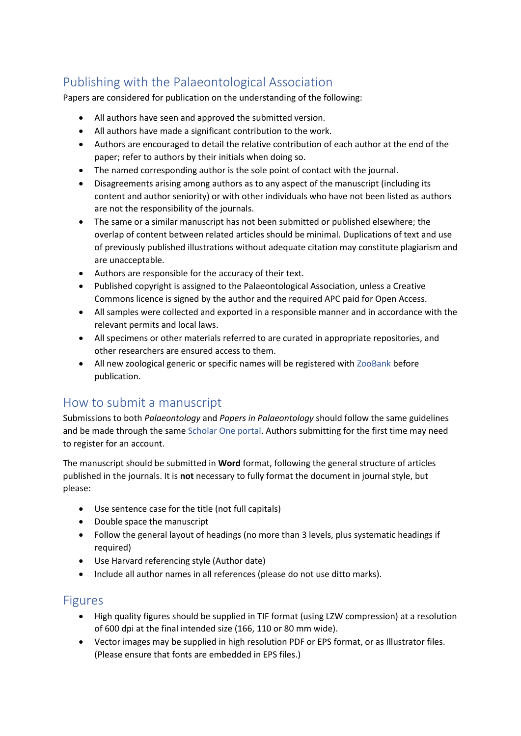## Publishing with the Palaeontological Association

Papers are considered for publication on the understanding of the following:

- All authors have seen and approved the submitted version.
- All authors have made a significant contribution to the work.
- Authors are encouraged to detail the relative contribution of each author at the end of the paper; refer to authors by their initials when doing so.
- The named corresponding author is the sole point of contact with the journal.
- Disagreements arising among authors as to any aspect of the manuscript (including its content and author seniority) or with other individuals who have not been listed as authors are not the responsibility of the journals.
- The same or a similar manuscript has not been submitted or published elsewhere; the overlap of content between related articles should be minimal. Duplications of text and use of previously published illustrations without adequate citation may constitute plagiarism and are unacceptable.
- Authors are responsible for the accuracy of their text.
- Published copyright is assigned to the Palaeontological Association, unless a Creative Commons licence is signed by the author and the required APC paid for Open Access.
- All samples were collected and exported in a responsible manner and in accordance with the relevant permits and local laws.
- All specimens or other materials referred to are curated in appropriate repositories, and other researchers are ensured access to them.
- All new zoological generic or specific names will be registered with [ZooBank](http://zoobank.org/) before publication.

### How to submit a manuscript

Submissions to both *Palaeontology* and *Papers in Palaeontology* should follow the same guidelines and be made through the same [Scholar One portal.](https://mc.manuscriptcentral.com/pala) Authors submitting for the first time may need to register for an account.

The manuscript should be submitted in **Word** format, following the general structure of articles published in the journals. It is **not** necessary to fully format the document in journal style, but please:

- Use sentence case for the title (not full capitals)
- Double space the manuscript
- Follow the general layout of headings (no more than 3 levels, plus systematic headings if required)
- Use Harvard referencing style (Author date)
- Include all author names in all references (please do not use ditto marks).

#### Figures

- High quality figures should be supplied in TIF format (using LZW compression) at a resolution of 600 dpi at the final intended size (166, 110 or 80 mm wide).
- Vector images may be supplied in high resolution PDF or EPS format, or as Illustrator files. (Please ensure that fonts are embedded in EPS files.)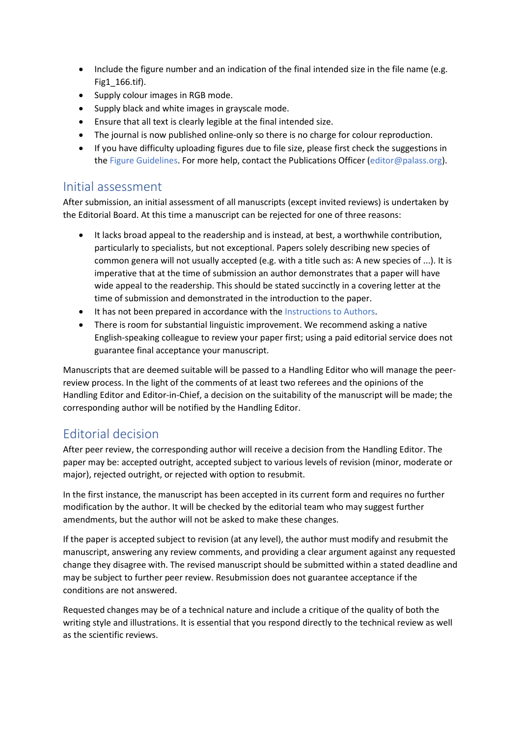- Include the figure number and an indication of the final intended size in the file name (e.g. Fig1\_166.tif).
- Supply colour images in RGB mode.
- Supply black and white images in grayscale mode.
- Ensure that all text is clearly legible at the final intended size.
- The journal is now published online-only so there is no charge for colour reproduction.
- If you have difficulty uploading figures due to file size, please first check the suggestions in th[e Figure Guidelines.](https://www.palass.org/publications/palaeontology-journal#for-authors) For more help, contact the Publications Officer [\(editor@palass.org\)](mailto:editor@palass.org?subject=submission%20query).

#### Initial assessment

After submission, an initial assessment of all manuscripts (except invited reviews) is undertaken by the Editorial Board. At this time a manuscript can be rejected for one of three reasons:

- It lacks broad appeal to the readership and is instead, at best, a worthwhile contribution, particularly to specialists, but not exceptional. Papers solely describing new species of common genera will not usually accepted (e.g. with a title such as: A new species of ...). It is imperative that at the time of submission an author demonstrates that a paper will have wide appeal to the readership. This should be stated succinctly in a covering letter at the time of submission and demonstrated in the introduction to the paper.
- It has not been prepared in accordance with th[e Instructions to Authors.](https://www.palass.org/publications/palaeontology-journal#for-authors)
- There is room for substantial linguistic improvement. We recommend asking a native English-speaking colleague to review your paper first; using a paid editorial service does not guarantee final acceptance your manuscript.

Manuscripts that are deemed suitable will be passed to a Handling Editor who will manage the peerreview process. In the light of the comments of at least two referees and the opinions of the Handling Editor and Editor-in-Chief, a decision on the suitability of the manuscript will be made; the corresponding author will be notified by the Handling Editor.

### Editorial decision

After peer review, the corresponding author will receive a decision from the Handling Editor. The paper may be: accepted outright, accepted subject to various levels of revision (minor, moderate or major), rejected outright, or rejected with option to resubmit.

In the first instance, the manuscript has been accepted in its current form and requires no further modification by the author. It will be checked by the editorial team who may suggest further amendments, but the author will not be asked to make these changes.

If the paper is accepted subject to revision (at any level), the author must modify and resubmit the manuscript, answering any review comments, and providing a clear argument against any requested change they disagree with. The revised manuscript should be submitted within a stated deadline and may be subject to further peer review. Resubmission does not guarantee acceptance if the conditions are not answered.

Requested changes may be of a technical nature and include a critique of the quality of both the writing style and illustrations. It is essential that you respond directly to the technical review as well as the scientific reviews.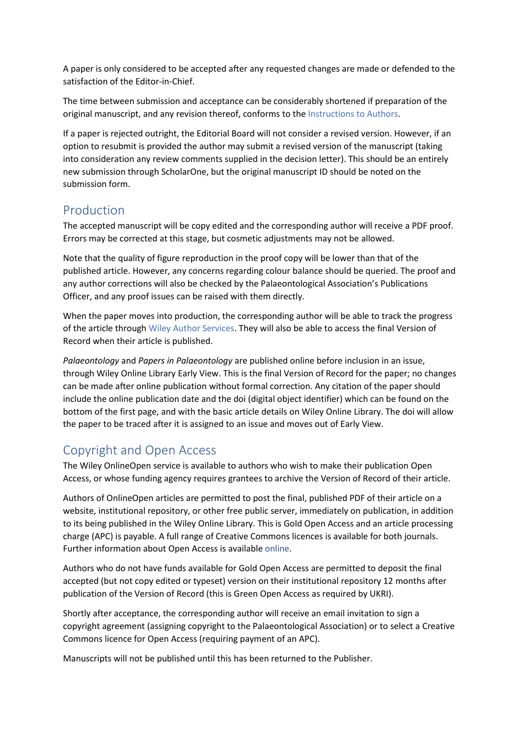A paper is only considered to be accepted after any requested changes are made or defended to the satisfaction of the Editor-in-Chief.

The time between submission and acceptance can be considerably shortened if preparation of the original manuscript, and any revision thereof, conforms to the [Instructions to Authors.](https://www.palass.org/publications/palaeontology-journal#for-authors)

If a paper is rejected outright, the Editorial Board will not consider a revised version. However, if an option to resubmit is provided the author may submit a revised version of the manuscript (taking into consideration any review comments supplied in the decision letter). This should be an entirely new submission through ScholarOne, but the original manuscript ID should be noted on the submission form.

#### Production

The accepted manuscript will be copy edited and the corresponding author will receive a PDF proof. Errors may be corrected at this stage, but cosmetic adjustments may not be allowed.

Note that the quality of figure reproduction in the proof copy will be lower than that of the published article. However, any concerns regarding colour balance should be queried. The proof and any author corrections will also be checked by the Palaeontological Association's Publications Officer, and any proof issues can be raised with them directly.

When the paper moves into production, the corresponding author will be able to track the progress of the article through [Wiley Author Services.](https://authorservices.wiley.com/home.html) They will also be able to access the final Version of Record when their article is published.

*Palaeontology* and *Papers in Palaeontology* are published online before inclusion in an issue, through Wiley Online Library Early View. This is the final Version of Record for the paper; no changes can be made after online publication without formal correction. Any citation of the paper should include the online publication date and the doi (digital object identifier) which can be found on the bottom of the first page, and with the basic article details on Wiley Online Library. The doi will allow the paper to be traced after it is assigned to an issue and moves out of Early View.

### Copyright and Open Access

The Wiley OnlineOpen service is available to authors who wish to make their publication Open Access, or whose funding agency requires grantees to archive the Version of Record of their article.

Authors of OnlineOpen articles are permitted to post the final, published PDF of their article on a website, institutional repository, or other free public server, immediately on publication, in addition to its being published in the Wiley Online Library. This is Gold Open Access and an article processing charge (APC) is payable. A full range of Creative Commons licences is available for both journals. Further information about Open Access is available [online.](https://authorservices.wiley.com/author-resources/Journal-Authors/licensing-open-access/open-access/onlineopen.html)

Authors who do not have funds available for Gold Open Access are permitted to deposit the final accepted (but not copy edited or typeset) version on their institutional repository 12 months after publication of the Version of Record (this is Green Open Access as required by UKRI).

Shortly after acceptance, the corresponding author will receive an email invitation to sign a copyright agreement (assigning copyright to the Palaeontological Association) or to select a Creative Commons licence for Open Access (requiring payment of an APC).

Manuscripts will not be published until this has been returned to the Publisher.